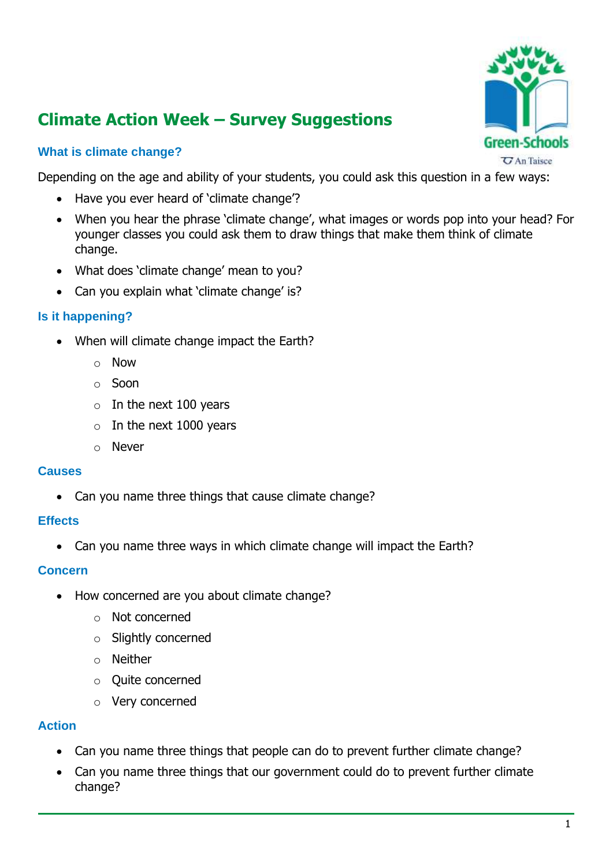# **Climate Action Week – Survey Suggestions**

## **What is climate change?**

Depending on the age and ability of your students, you could ask this question in a few ways:

- Have you ever heard of 'climate change'?
- When you hear the phrase 'climate change', what images or words pop into your head? For younger classes you could ask them to draw things that make them think of climate change.
- What does 'climate change' mean to you?
- Can you explain what 'climate change' is?

## **Is it happening?**

- When will climate change impact the Earth?
	- o Now
	- o Soon
	- $\circ$  In the next 100 years
	- $\circ$  In the next 1000 years
	- o Never

#### **Causes**

• Can you name three things that cause climate change?

### **Effects**

• Can you name three ways in which climate change will impact the Earth?

#### **Concern**

- How concerned are you about climate change?
	- o Not concerned
	- o Slightly concerned
	- o Neither
	- o Quite concerned
	- o Very concerned

### **Action**

- Can you name three things that people can do to prevent further climate change?
- Can you name three things that our government could do to prevent further climate change?